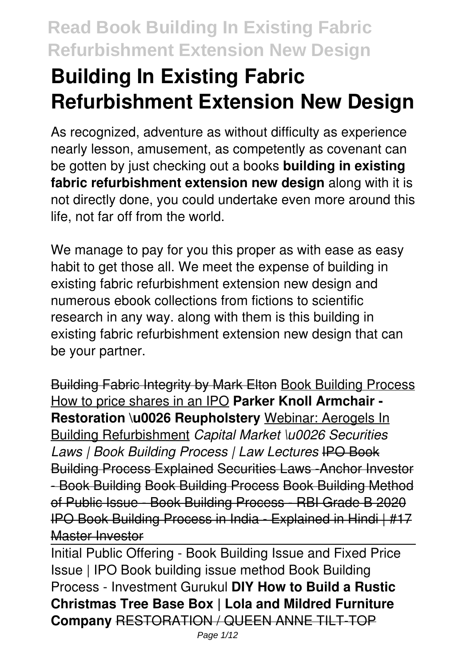# **Building In Existing Fabric Refurbishment Extension New Design**

As recognized, adventure as without difficulty as experience nearly lesson, amusement, as competently as covenant can be gotten by just checking out a books **building in existing fabric refurbishment extension new design** along with it is not directly done, you could undertake even more around this life, not far off from the world.

We manage to pay for you this proper as with ease as easy habit to get those all. We meet the expense of building in existing fabric refurbishment extension new design and numerous ebook collections from fictions to scientific research in any way. along with them is this building in existing fabric refurbishment extension new design that can be your partner.

Building Fabric Integrity by Mark Elton Book Building Process How to price shares in an IPO **Parker Knoll Armchair - Restoration \u0026 Reupholstery** Webinar: Aerogels In Building Refurbishment *Capital Market \u0026 Securities Laws | Book Building Process | Law Lectures* IPO Book Building Process Explained Securities Laws -Anchor Investor - Book Building Book Building Process Book Building Method of Public Issue - Book Building Process - RBI Grade B 2020 IPO Book Building Process in India - Explained in Hindi | #17 Master Investor

Initial Public Offering - Book Building Issue and Fixed Price Issue | IPO Book building issue method Book Building Process - Investment Gurukul **DIY How to Build a Rustic Christmas Tree Base Box | Lola and Mildred Furniture Company** RESTORATION / QUEEN ANNE TILT-TOP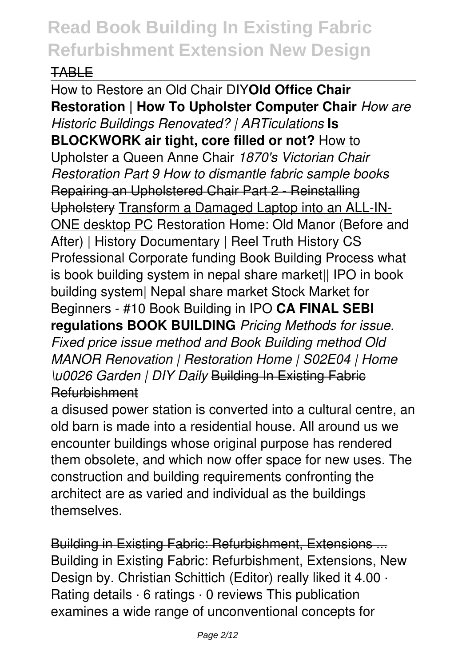#### TABLE

How to Restore an Old Chair DIY**Old Office Chair Restoration | How To Upholster Computer Chair** *How are Historic Buildings Renovated? | ARTiculations* **Is BLOCKWORK air tight, core filled or not?** How to Upholster a Queen Anne Chair *1870's Victorian Chair Restoration Part 9 How to dismantle fabric sample books* Repairing an Upholstered Chair Part 2 - Reinstalling Upholstery Transform a Damaged Laptop into an ALL-IN-ONE desktop PC Restoration Home: Old Manor (Before and After) | History Documentary | Reel Truth History CS Professional Corporate funding Book Building Process what is book building system in nepal share market|| IPO in book building system| Nepal share market Stock Market for Beginners - #10 Book Building in IPO **CA FINAL SEBI regulations BOOK BUILDING** *Pricing Methods for issue. Fixed price issue method and Book Building method Old MANOR Renovation | Restoration Home | S02E04 | Home \u0026 Garden | DIY Daily* Building In Existing Fabric Refurbishment

a disused power station is converted into a cultural centre, an old barn is made into a residential house. All around us we encounter buildings whose original purpose has rendered them obsolete, and which now offer space for new uses. The construction and building requirements confronting the architect are as varied and individual as the buildings themselves.

Building in Existing Fabric: Refurbishment, Extensions ... Building in Existing Fabric: Refurbishment, Extensions, New Design by. Christian Schittich (Editor) really liked it 4.00 · Rating details · 6 ratings · 0 reviews This publication examines a wide range of unconventional concepts for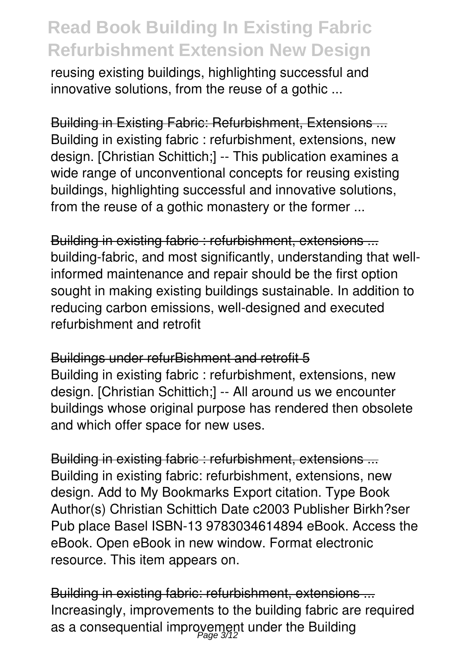reusing existing buildings, highlighting successful and innovative solutions, from the reuse of a gothic ...

Building in Existing Fabric: Refurbishment, Extensions ... Building in existing fabric : refurbishment, extensions, new design. [Christian Schittich;] -- This publication examines a wide range of unconventional concepts for reusing existing buildings, highlighting successful and innovative solutions, from the reuse of a gothic monastery or the former ...

Building in existing fabric : refurbishment, extensions ... building-fabric, and most significantly, understanding that wellinformed maintenance and repair should be the first option sought in making existing buildings sustainable. In addition to reducing carbon emissions, well-designed and executed refurbishment and retrofit

#### Buildings under refurBishment and retrofit 5

Building in existing fabric : refurbishment, extensions, new design. [Christian Schittich;] -- All around us we encounter buildings whose original purpose has rendered then obsolete and which offer space for new uses.

Building in existing fabric : refurbishment, extensions ... Building in existing fabric: refurbishment, extensions, new design. Add to My Bookmarks Export citation. Type Book Author(s) Christian Schittich Date c2003 Publisher Birkh?ser Pub place Basel ISBN-13 9783034614894 eBook. Access the eBook. Open eBook in new window. Format electronic resource. This item appears on.

Building in existing fabric: refurbishment, extensions ... Increasingly, improvements to the building fabric are required as a consequential improyement under the Building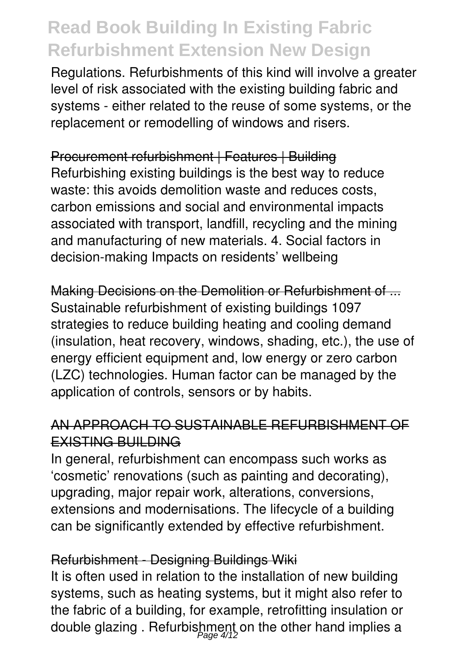Regulations. Refurbishments of this kind will involve a greater level of risk associated with the existing building fabric and systems - either related to the reuse of some systems, or the replacement or remodelling of windows and risers.

Procurement refurbishment | Features | Building Refurbishing existing buildings is the best way to reduce waste: this avoids demolition waste and reduces costs, carbon emissions and social and environmental impacts associated with transport, landfill, recycling and the mining and manufacturing of new materials. 4. Social factors in decision-making Impacts on residents' wellbeing

Making Decisions on the Demolition or Refurbishment of ... Sustainable refurbishment of existing buildings 1097 strategies to reduce building heating and cooling demand (insulation, heat recovery, windows, shading, etc.), the use of energy efficient equipment and, low energy or zero carbon (LZC) technologies. Human factor can be managed by the application of controls, sensors or by habits.

#### AN APPROACH TO SUSTAINABLE REFURBISHMENT OF EXISTING BUILDING

In general, refurbishment can encompass such works as 'cosmetic' renovations (such as painting and decorating), upgrading, major repair work, alterations, conversions, extensions and modernisations. The lifecycle of a building can be significantly extended by effective refurbishment.

#### Refurbishment - Designing Buildings Wiki

It is often used in relation to the installation of new building systems, such as heating systems, but it might also refer to the fabric of a building, for example, retrofitting insulation or double glazing . Refurbishment on the other hand implies a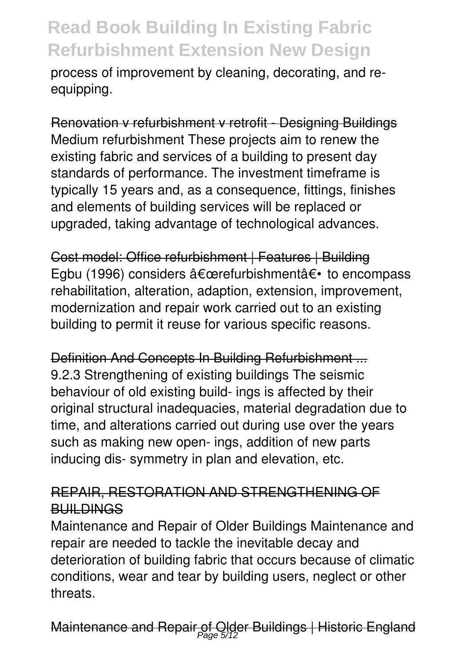process of improvement by cleaning, decorating, and reequipping.

Renovation v refurbishment v retrofit - Designing Buildings Medium refurbishment These projects aim to renew the existing fabric and services of a building to present day standards of performance. The investment timeframe is typically 15 years and, as a consequence, fittings, finishes and elements of building services will be replaced or upgraded, taking advantage of technological advances.

Cost model: Office refurbishment | Features | Building Egbu (1996) considers "refurbishment― to encompass rehabilitation, alteration, adaption, extension, improvement, modernization and repair work carried out to an existing building to permit it reuse for various specific reasons.

Definition And Concepts In Building Refurbishment ... 9.2.3 Strengthening of existing buildings The seismic behaviour of old existing build- ings is affected by their original structural inadequacies, material degradation due to time, and alterations carried out during use over the years such as making new open- ings, addition of new parts inducing dis- symmetry in plan and elevation, etc.

#### REPAIR, RESTORATION AND STRENGTHENING OF **BUILDINGS**

Maintenance and Repair of Older Buildings Maintenance and repair are needed to tackle the inevitable decay and deterioration of building fabric that occurs because of climatic conditions, wear and tear by building users, neglect or other threats.

Maintenance and Repair of Older Buildings | Historic England<br>Page 5/12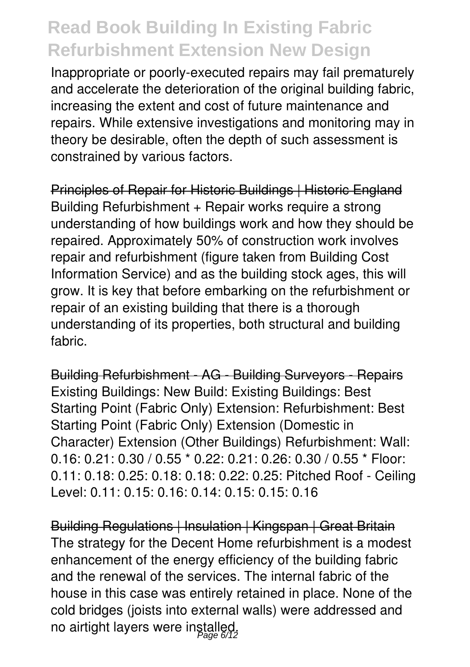Inappropriate or poorly-executed repairs may fail prematurely and accelerate the deterioration of the original building fabric, increasing the extent and cost of future maintenance and repairs. While extensive investigations and monitoring may in theory be desirable, often the depth of such assessment is constrained by various factors.

Principles of Repair for Historic Buildings | Historic England Building Refurbishment + Repair works require a strong understanding of how buildings work and how they should be repaired. Approximately 50% of construction work involves repair and refurbishment (figure taken from Building Cost Information Service) and as the building stock ages, this will grow. It is key that before embarking on the refurbishment or repair of an existing building that there is a thorough understanding of its properties, both structural and building fabric.

Building Refurbishment - AG - Building Surveyors - Repairs Existing Buildings: New Build: Existing Buildings: Best Starting Point (Fabric Only) Extension: Refurbishment: Best Starting Point (Fabric Only) Extension (Domestic in Character) Extension (Other Buildings) Refurbishment: Wall: 0.16: 0.21: 0.30 / 0.55 \* 0.22: 0.21: 0.26: 0.30 / 0.55 \* Floor: 0.11: 0.18: 0.25: 0.18: 0.18: 0.22: 0.25: Pitched Roof - Ceiling Level: 0.11: 0.15: 0.16: 0.14: 0.15: 0.15: 0.16

Building Regulations | Insulation | Kingspan | Great Britain The strategy for the Decent Home refurbishment is a modest enhancement of the energy efficiency of the building fabric and the renewal of the services. The internal fabric of the house in this case was entirely retained in place. None of the cold bridges (joists into external walls) were addressed and no airtight layers were installed.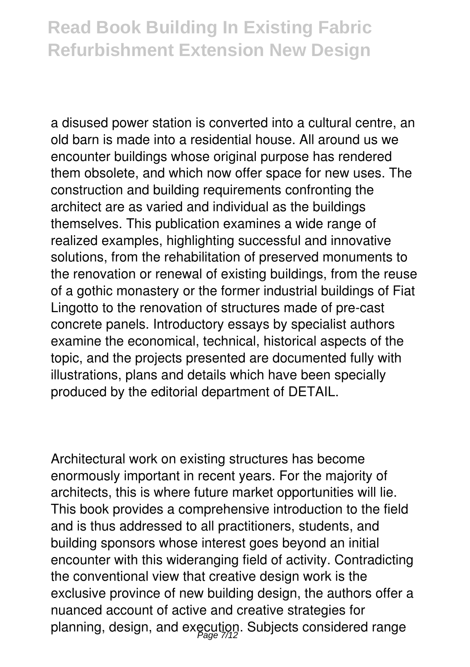a disused power station is converted into a cultural centre, an old barn is made into a residential house. All around us we encounter buildings whose original purpose has rendered them obsolete, and which now offer space for new uses. The construction and building requirements confronting the architect are as varied and individual as the buildings themselves. This publication examines a wide range of realized examples, highlighting successful and innovative solutions, from the rehabilitation of preserved monuments to the renovation or renewal of existing buildings, from the reuse of a gothic monastery or the former industrial buildings of Fiat Lingotto to the renovation of structures made of pre-cast concrete panels. Introductory essays by specialist authors examine the economical, technical, historical aspects of the topic, and the projects presented are documented fully with illustrations, plans and details which have been specially produced by the editorial department of DETAIL.

Architectural work on existing structures has become enormously important in recent years. For the majority of architects, this is where future market opportunities will lie. This book provides a comprehensive introduction to the field and is thus addressed to all practitioners, students, and building sponsors whose interest goes beyond an initial encounter with this wideranging field of activity. Contradicting the conventional view that creative design work is the exclusive province of new building design, the authors offer a nuanced account of active and creative strategies for planning, design, and execution. Subjects considered range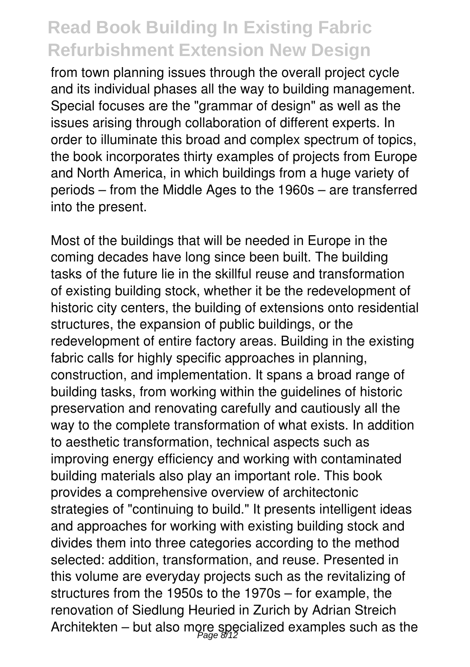from town planning issues through the overall project cycle and its individual phases all the way to building management. Special focuses are the "grammar of design" as well as the issues arising through collaboration of different experts. In order to illuminate this broad and complex spectrum of topics, the book incorporates thirty examples of projects from Europe and North America, in which buildings from a huge variety of periods – from the Middle Ages to the 1960s – are transferred into the present.

Most of the buildings that will be needed in Europe in the coming decades have long since been built. The building tasks of the future lie in the skillful reuse and transformation of existing building stock, whether it be the redevelopment of historic city centers, the building of extensions onto residential structures, the expansion of public buildings, or the redevelopment of entire factory areas. Building in the existing fabric calls for highly specific approaches in planning, construction, and implementation. It spans a broad range of building tasks, from working within the guidelines of historic preservation and renovating carefully and cautiously all the way to the complete transformation of what exists. In addition to aesthetic transformation, technical aspects such as improving energy efficiency and working with contaminated building materials also play an important role. This book provides a comprehensive overview of architectonic strategies of "continuing to build." It presents intelligent ideas and approaches for working with existing building stock and divides them into three categories according to the method selected: addition, transformation, and reuse. Presented in this volume are everyday projects such as the revitalizing of structures from the 1950s to the 1970s – for example, the renovation of Siedlung Heuried in Zurich by Adrian Streich Architekten – but also more specialized examples such as the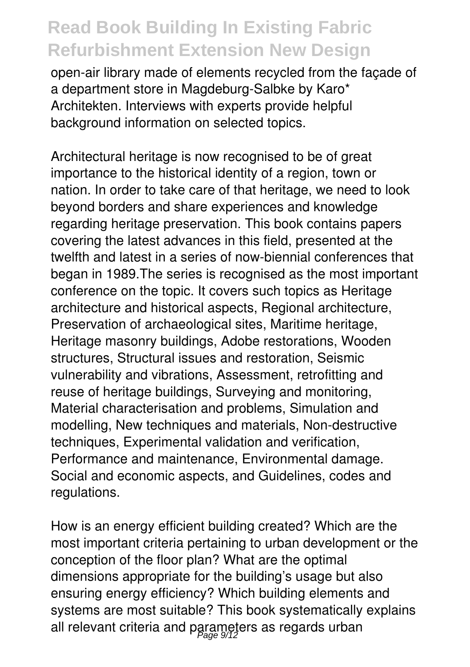open-air library made of elements recycled from the façade of a department store in Magdeburg-Salbke by Karo\* Architekten. Interviews with experts provide helpful background information on selected topics.

Architectural heritage is now recognised to be of great importance to the historical identity of a region, town or nation. In order to take care of that heritage, we need to look beyond borders and share experiences and knowledge regarding heritage preservation. This book contains papers covering the latest advances in this field, presented at the twelfth and latest in a series of now-biennial conferences that began in 1989.The series is recognised as the most important conference on the topic. It covers such topics as Heritage architecture and historical aspects, Regional architecture, Preservation of archaeological sites, Maritime heritage, Heritage masonry buildings, Adobe restorations, Wooden structures, Structural issues and restoration, Seismic vulnerability and vibrations, Assessment, retrofitting and reuse of heritage buildings, Surveying and monitoring, Material characterisation and problems, Simulation and modelling, New techniques and materials, Non-destructive techniques, Experimental validation and verification, Performance and maintenance, Environmental damage. Social and economic aspects, and Guidelines, codes and regulations.

How is an energy efficient building created? Which are the most important criteria pertaining to urban development or the conception of the floor plan? What are the optimal dimensions appropriate for the building's usage but also ensuring energy efficiency? Which building elements and systems are most suitable? This book systematically explains all relevant criteria and parameters as regards urban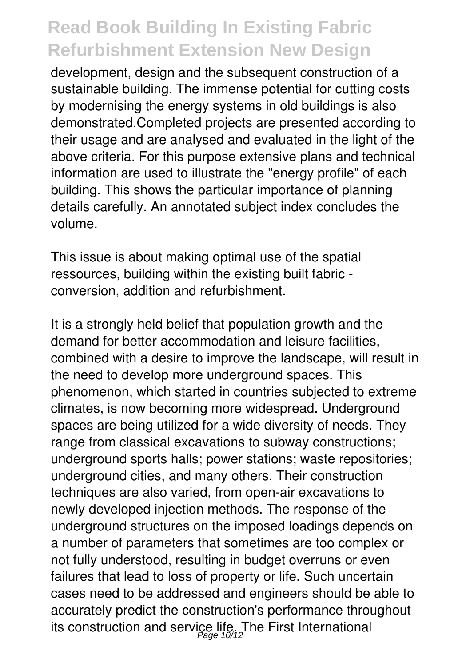development, design and the subsequent construction of a sustainable building. The immense potential for cutting costs by modernising the energy systems in old buildings is also demonstrated.Completed projects are presented according to their usage and are analysed and evaluated in the light of the above criteria. For this purpose extensive plans and technical information are used to illustrate the "energy profile" of each building. This shows the particular importance of planning details carefully. An annotated subject index concludes the volume.

This issue is about making optimal use of the spatial ressources, building within the existing built fabric conversion, addition and refurbishment.

It is a strongly held belief that population growth and the demand for better accommodation and leisure facilities, combined with a desire to improve the landscape, will result in the need to develop more underground spaces. This phenomenon, which started in countries subjected to extreme climates, is now becoming more widespread. Underground spaces are being utilized for a wide diversity of needs. They range from classical excavations to subway constructions; underground sports halls; power stations; waste repositories; underground cities, and many others. Their construction techniques are also varied, from open-air excavations to newly developed injection methods. The response of the underground structures on the imposed loadings depends on a number of parameters that sometimes are too complex or not fully understood, resulting in budget overruns or even failures that lead to loss of property or life. Such uncertain cases need to be addressed and engineers should be able to accurately predict the construction's performance throughout its construction and service life. The First International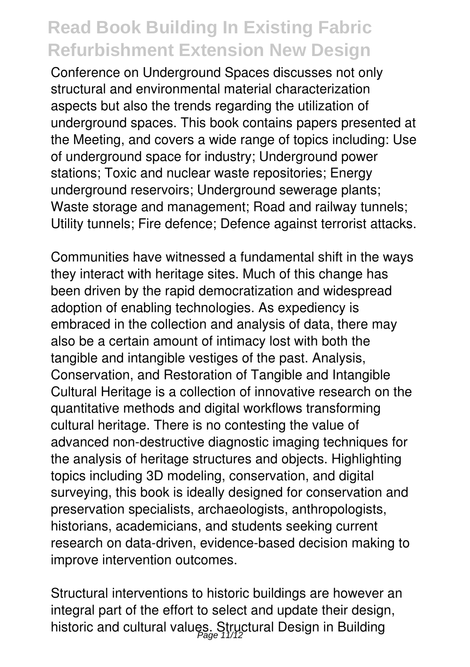Conference on Underground Spaces discusses not only structural and environmental material characterization aspects but also the trends regarding the utilization of underground spaces. This book contains papers presented at the Meeting, and covers a wide range of topics including: Use of underground space for industry; Underground power stations; Toxic and nuclear waste repositories; Energy underground reservoirs; Underground sewerage plants; Waste storage and management; Road and railway tunnels; Utility tunnels; Fire defence; Defence against terrorist attacks.

Communities have witnessed a fundamental shift in the ways they interact with heritage sites. Much of this change has been driven by the rapid democratization and widespread adoption of enabling technologies. As expediency is embraced in the collection and analysis of data, there may also be a certain amount of intimacy lost with both the tangible and intangible vestiges of the past. Analysis, Conservation, and Restoration of Tangible and Intangible Cultural Heritage is a collection of innovative research on the quantitative methods and digital workflows transforming cultural heritage. There is no contesting the value of advanced non-destructive diagnostic imaging techniques for the analysis of heritage structures and objects. Highlighting topics including 3D modeling, conservation, and digital surveying, this book is ideally designed for conservation and preservation specialists, archaeologists, anthropologists, historians, academicians, and students seeking current research on data-driven, evidence-based decision making to improve intervention outcomes.

Structural interventions to historic buildings are however an integral part of the effort to select and update their design, historic and cultural values. Structural Design in Building